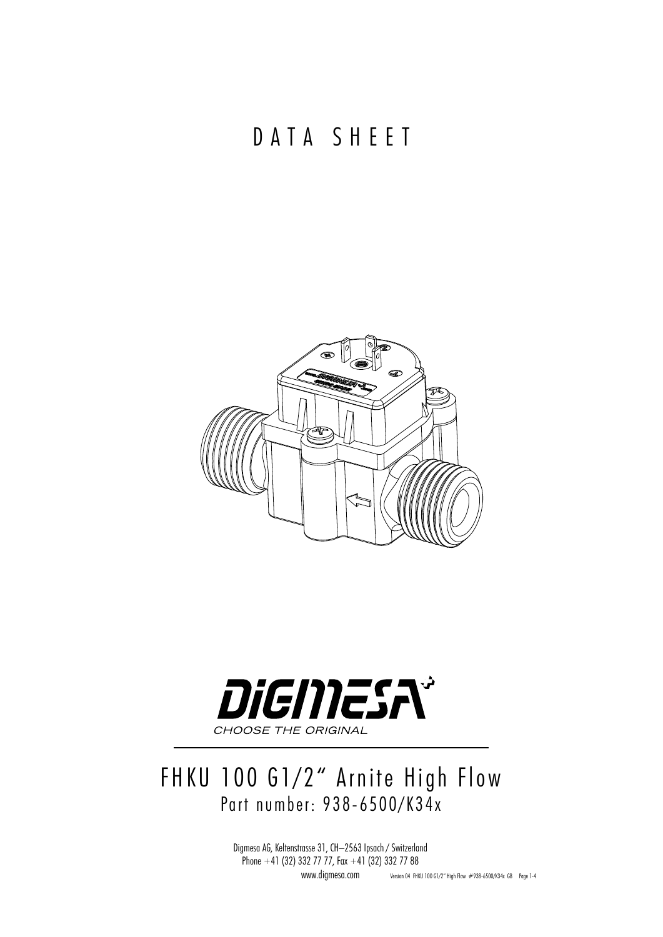## DATA SHEET





## FHKU 100 G1/2" Arnite High Flow Part number: 938-6500/K34x

Digmesa AG, Keltenstrasse 31, CH–2563 Ipsach / Switzerland Phone +41 (32) 332 77 77, Fax +41 (32) 332 77 88 www.digmesa.com Version 04 FHKU 100 G1/2" High Flow #938-6500/K34x GB Page 1-4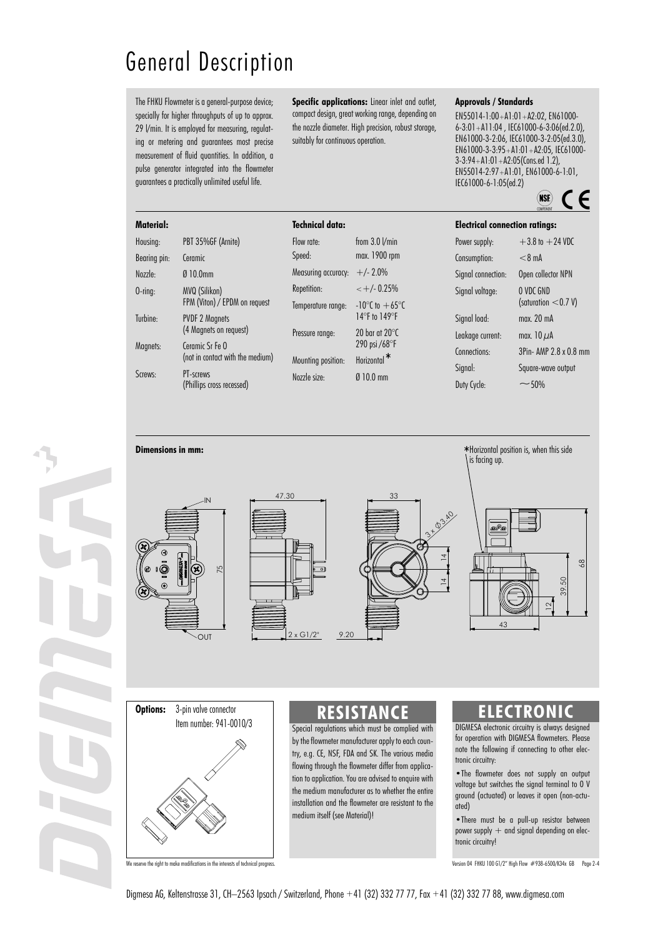## General Description

The FHKU Flowmeter is a general-purpose device; specially for higher throughputs of up to approx. 29 I/min. It is employed for measuring, regulating or metering and guarantees most precise measurement of fluid quantities. In addition, a pulse generator integrated into the flowmeter guarantees a practically unlimited useful life.

**Specific applications:** Linear inlet and outlet, compact design, great working range, depending on the nozzle diameter. High precision, robust storage, suitably for continuous operation.

#### **Approvals / Standards**

EN55014-1:00+A1:01+A2:02, EN61000- 6-3:01+A11:04 , IEC61000-6-3:06(ed.2.0), EN61000-3-2:06, IEC61000-3-2:05(ed.3.0), EN61000-3-3:95+A1:01+A2:05, IEC61000- 3-3:94+A1:01+A2:05(Cons.ed 1.2), EN55014-2:97+A1:01, EN61000-6-1:01, IEC61000-6-1:05(ed.2)



| Material:           |                                                                                               | <b>Technical data:</b>                                                                                 |                                    | <b>Electrical connection ratings:</b> |                        |
|---------------------|-----------------------------------------------------------------------------------------------|--------------------------------------------------------------------------------------------------------|------------------------------------|---------------------------------------|------------------------|
| Housing:            | PBT 35%GF (Arnite)                                                                            | Flow rate:                                                                                             | from $3.0$ $V$ min                 | Power supply:                         | $+3.8$ to $+24$ VDC    |
| Bearing pin:        | Ceramic                                                                                       | Speed:                                                                                                 | max. 1900 rpm                      | Consumption:                          | $<$ 8 mA               |
| Nozzle:             | Ø10.0mm                                                                                       | Measuring accuracy:                                                                                    | $+/- 2.0\%$                        | Signal connection:                    | Open collector NPN     |
| $0$ -ring:          | MVQ (Silikon)<br>FPM (Viton) / EPDM on request                                                | Repetition:                                                                                            | $\lt$ +/- 0.25%                    | Signal voltage:                       | O VDC GND              |
|                     |                                                                                               | Temperature range:                                                                                     | $-10^{\circ}$ C to $+65^{\circ}$ C |                                       | (saturation $<$ 0.7 V) |
| Turbine:            | <b>PVDF 2 Magnets</b><br>(4 Magnets on request)                                               |                                                                                                        | $14^{\circ}$ F to $149^{\circ}$ F  | Sianal load:                          | max. 20 mA             |
|                     |                                                                                               | Pressure range:                                                                                        | 20 bar at 20 $\degree$ C           | Leakage current:                      | max. $10 \mu A$        |
| Magnets:<br>Screws: | Ceramic Sr Fe O<br>(not in contact with the medium)<br>PT-screws<br>(Phillips cross recessed) | 290 psi $/68^{\circ}$ F<br>Horizontal <sup>*</sup><br>Mounting position:<br>$010.0$ mm<br>Nozzle size: | Connections:                       | 3Pin- AMP 2.8 x 0.8 mm                |                        |
|                     |                                                                                               |                                                                                                        |                                    | Signal:                               | Square-wave output     |
|                     |                                                                                               |                                                                                                        |                                    | Duty Cycle:                           | $~10\%$                |











Item number: 941-0010/3

### Special regulations which must be complied with by the flowmeter manufacturer apply to each country, e.g. CE, NSF, FDA and SK. The various media flowing through the flowmeter differ from applica-

tion to application. You are advised to enquire with the medium manufacturer as to whether the entire installation and the flowmeter are resistant to the medium itself (see Material)!

### **Options:** 3-pin valve connector **CALC ACTRONIC CALC RESISTANCE CALC <b>CALC CALC CALC CALC CALC CALC CALC CALC CALC CALC CALC CALC CALC CALC CALC CALC CALC CALC CALC CALC CALC C**

DIGMESA electronic circuitry is always designed for operation with DIGMESA flowmeters. Please note the following if connecting to other electronic circuitry:

•The flowmeter does not supply an output voltage but switches the signal terminal to 0 V ground (actuated) or leaves it open (non-actuated)

•There must be a pull-up resistor between power supply  $+$  and signal depending on electronic circuitry!

We reserve the right to make modifications in the interests of technical progress. The content of the content of the content of technical progress. Version 04 FHKU 100 G1/2" High Flow #938-6500/K34x GB Page 2-4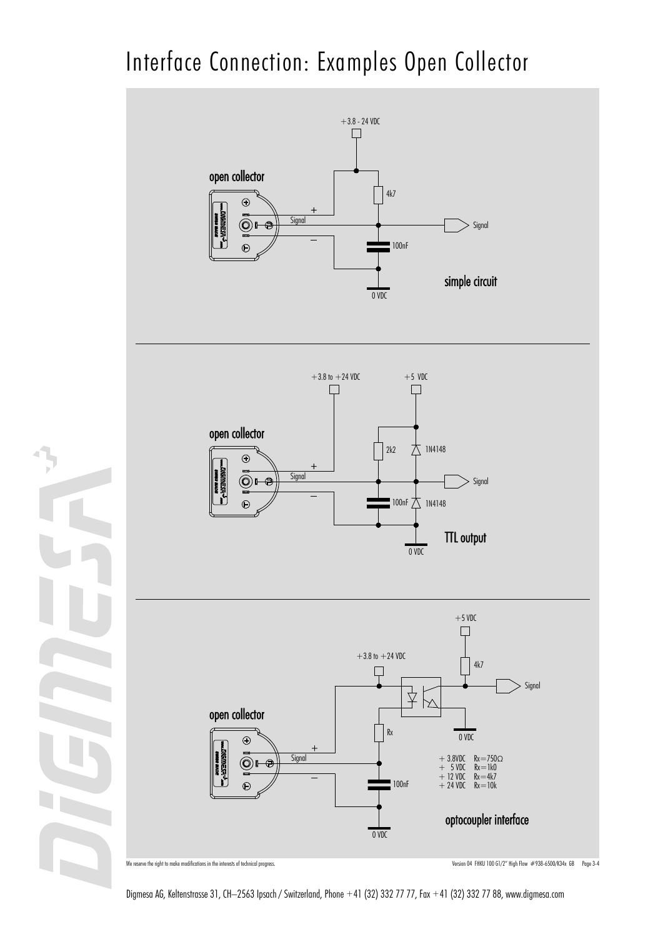# Interface Connection: Examples Open Collector



We reserve the right to make modifications in the interests of technical progress. The interest of technical progress. The content of the content of the content of the content of the content of the content of the content o

Digmesa AG, Keltenstrasse 31, CH–2563 Ipsach / Switzerland, Phone +41 (32) 332 77 77, Fax +41 (32) 332 77 88, www.digmesa.com